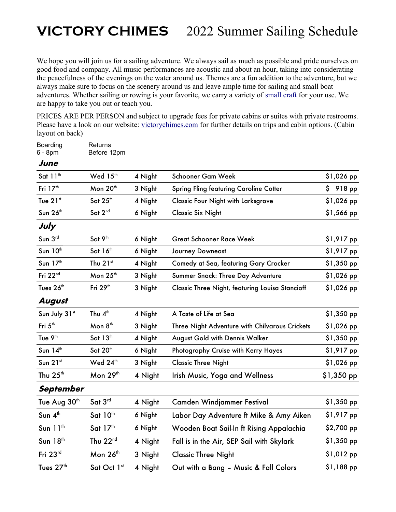## **VICTORY CHIMES** 2022 Summer Sailing Schedule

We hope you will join us for a sailing adventure. We always sail as much as possible and pride ourselves on good food and company. All music performances are acoustic and about an hour, taking into considerating the peacefulness of the evenings on the water around us. Themes are a fun addition to the adventure, but we always make sure to focus on the scenery around us and leave ample time for sailing and small boat adventures. Whether sailing or rowing is your favorite, we carry a variety of small craft for your use. We are happy to take you out or teach you.

PRICES ARE PER PERSON and subject to upgrade fees for private cabins or suites with private restrooms. Please have a look on our website: victorychimes.com for further details on trips and cabin options. (Cabin layout on back)

Boarding Returns

| 6 - 8pm               | Before 12pm          |         |                                                        |             |
|-----------------------|----------------------|---------|--------------------------------------------------------|-------------|
| June                  |                      |         |                                                        |             |
| Sat 11 <sup>th</sup>  | Wed 15 <sup>th</sup> | 4 Night | Schooner Gam Week                                      | \$1,026 pp  |
| Fri 17 <sup>th</sup>  | Mon 20 <sup>th</sup> | 3 Night | <b>Spring Fling featuring Caroline Cotter</b>          | \$918 pp    |
| Tue 21st              | Sat 25 <sup>th</sup> | 4 Night | <b>Classic Four Night with Larksgrove</b>              | \$1,026 pp  |
| Sun 26th              | Sat 2nd              | 6 Night | <b>Classic Six Night</b>                               | \$1,566 pp  |
| July                  |                      |         |                                                        |             |
| Sun 3rd               | Sat 9 <sup>th</sup>  | 6 Night | <b>Great Schooner Race Week</b>                        | \$1,917 pp  |
| Sun 10 <sup>th</sup>  | Sat 16 <sup>th</sup> | 6 Night | <b>Journey Downeast</b>                                | \$1,917 pp  |
| Sun 17th              | Thu 21st             | 4 Night | Comedy at Sea, featuring Gary Crocker                  | \$1,350 pp  |
| Fri 22nd              | Mon 25 <sup>th</sup> | 3 Night | Summer Snack: Three Day Adventure                      | \$1,026 pp  |
| Tues 26 <sup>th</sup> | Fri 29 <sup>th</sup> | 3 Night | <b>Classic Three Night, featuring Louisa Stancioff</b> | \$1,026 pp  |
| August                |                      |         |                                                        |             |
| Sun July 31st         | Thu 4 <sup>th</sup>  | 4 Night | A Taste of Life at Sea                                 | $$1,350$ pp |
| Fri 5 <sup>th</sup>   | Mon 8 <sup>th</sup>  | 3 Night | Three Night Adventure with Chilvarous Crickets         | \$1,026 pp  |
| Tue 9 <sup>th</sup>   | Sat 13th             | 4 Night | August Gold with Dennis Walker                         | \$1,350 pp  |
| Sun $14th$            | Sat 20th             | 6 Night | Photography Cruise with Kerry Hayes                    | \$1,917 pp  |
| Sun 21st              | Wed 24 <sup>th</sup> | 3 Night | <b>Classic Three Night</b>                             | \$1,026 pp  |
| Thu $25th$            | Mon $29th$           | 4 Night | <b>Irish Music, Yoga and Wellness</b>                  | \$1,350 pp  |
| September             |                      |         |                                                        |             |
| Tue Aug 30th          | Sat3 <sup>rd</sup>   | 4 Night | Camden Windjammer Festival                             | $$1,350$ pp |
| Sun 4 <sup>th</sup>   | Sat 10 <sup>th</sup> | 6 Night | Labor Day Adventure ft Mike & Amy Aiken                | \$1,917 pp  |
| Sun 11 <sup>th</sup>  | Sat 17 <sup>th</sup> | 6 Night | Wooden Boat Sail-In ft Rising Appalachia               | \$2,700 pp  |
| Sun 18th              | Thu 22nd             | 4 Night | Fall is in the Air, SEP Sail with Skylark              | \$1,350 pp  |
| Fri 23rd              | Mon 26 <sup>th</sup> | 3 Night | <b>Classic Three Night</b>                             | \$1,012 pp  |
| Tues 27 <sup>th</sup> | Sat Oct 1st          | 4 Night | Out with a Bang - Music & Fall Colors                  | \$1,188 pp  |